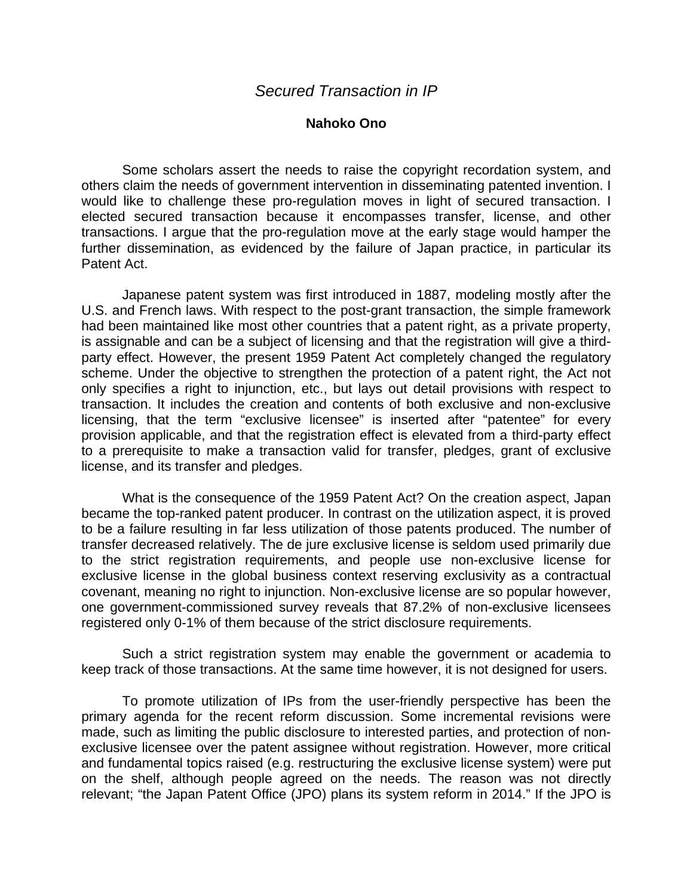## **Nahoko Ono**

Some scholars assert the needs to raise the copyright recordation system, and others claim the needs of government intervention in disseminating patented invention. I would like to challenge these pro-regulation moves in light of secured transaction. I elected secured transaction because it encompasses transfer, license, and other transactions. I argue that the pro-regulation move at the early stage would hamper the further dissemination, as evidenced by the failure of Japan practice, in particular its Patent Act.

Japanese patent system was first introduced in 1887, modeling mostly after the U.S. and French laws. With respect to the post-grant transaction, the simple framework had been maintained like most other countries that a patent right, as a private property, is assignable and can be a subject of licensing and that the registration will give a thirdparty effect. However, the present 1959 Patent Act completely changed the regulatory scheme. Under the objective to strengthen the protection of a patent right, the Act not only specifies a right to injunction, etc., but lays out detail provisions with respect to transaction. It includes the creation and contents of both exclusive and non-exclusive licensing, that the term "exclusive licensee" is inserted after "patentee" for every provision applicable, and that the registration effect is elevated from a third-party effect to a prerequisite to make a transaction valid for transfer, pledges, grant of exclusive license, and its transfer and pledges.

What is the consequence of the 1959 Patent Act? On the creation aspect, Japan became the top-ranked patent producer. In contrast on the utilization aspect, it is proved to be a failure resulting in far less utilization of those patents produced. The number of transfer decreased relatively. The de jure exclusive license is seldom used primarily due to the strict registration requirements, and people use non-exclusive license for exclusive license in the global business context reserving exclusivity as a contractual covenant, meaning no right to injunction. Non-exclusive license are so popular however, one government-commissioned survey reveals that 87.2% of non-exclusive licensees registered only 0-1% of them because of the strict disclosure requirements.

Such a strict registration system may enable the government or academia to keep track of those transactions. At the same time however, it is not designed for users.

To promote utilization of IPs from the user-friendly perspective has been the primary agenda for the recent reform discussion. Some incremental revisions were made, such as limiting the public disclosure to interested parties, and protection of nonexclusive licensee over the patent assignee without registration. However, more critical and fundamental topics raised (e.g. restructuring the exclusive license system) were put on the shelf, although people agreed on the needs. The reason was not directly relevant; "the Japan Patent Office (JPO) plans its system reform in 2014." If the JPO is